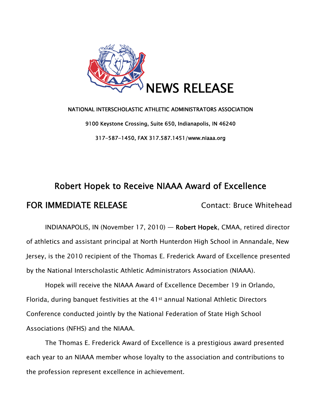

## NATIONAL INTERSCHOLASTIC ATHLETIC ADMINISTRATORS ASSOCIATION 9100 Keystone Crossing, Suite 650, Indianapolis, IN 46240 317-587-1450, FAX 317.587.1451/www.niaaa.org

# Robert Hopek to Receive NIAAA Award of Excellence FOR IMMEDIATE RELEASE Contact: Bruce Whitehead

INDIANAPOLIS, IN (November 17, 2010) — Robert Hopek, CMAA, retired director of athletics and assistant principal at North Hunterdon High School in Annandale, New Jersey, is the 2010 recipient of the Thomas E. Frederick Award of Excellence presented by the National Interscholastic Athletic Administrators Association (NIAAA).

Hopek will receive the NIAAA Award of Excellence December 19 in Orlando, Florida, during banquet festivities at the 41st annual National Athletic Directors Conference conducted jointly by the National Federation of State High School Associations (NFHS) and the NIAAA.

The Thomas E. Frederick Award of Excellence is a prestigious award presented each year to an NIAAA member whose loyalty to the association and contributions to the profession represent excellence in achievement.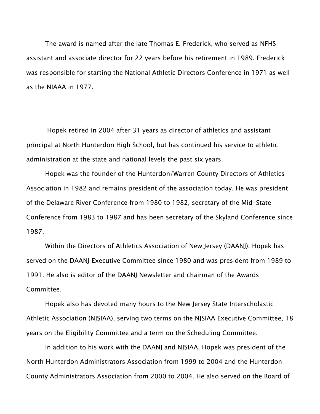The award is named after the late Thomas E. Frederick, who served as NFHS assistant and associate director for 22 years before his retirement in 1989. Frederick was responsible for starting the National Athletic Directors Conference in 1971 as well as the NIAAA in 1977.

 Hopek retired in 2004 after 31 years as director of athletics and assistant principal at North Hunterdon High School, but has continued his service to athletic administration at the state and national levels the past six years.

 Hopek was the founder of the Hunterdon/Warren County Directors of Athletics Association in 1982 and remains president of the association today. He was president of the Delaware River Conference from 1980 to 1982, secretary of the Mid-State Conference from 1983 to 1987 and has been secretary of the Skyland Conference since 1987.

 Within the Directors of Athletics Association of New Jersey (DAANJ), Hopek has served on the DAANJ Executive Committee since 1980 and was president from 1989 to 1991. He also is editor of the DAANJ Newsletter and chairman of the Awards Committee.

 Hopek also has devoted many hours to the New Jersey State Interscholastic Athletic Association (NJSIAA), serving two terms on the NJSIAA Executive Committee, 18 years on the Eligibility Committee and a term on the Scheduling Committee.

 In addition to his work with the DAANJ and NJSIAA, Hopek was president of the North Hunterdon Administrators Association from 1999 to 2004 and the Hunterdon County Administrators Association from 2000 to 2004. He also served on the Board of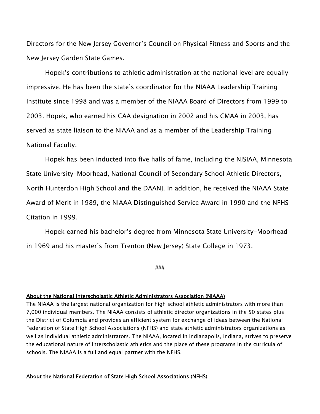Directors for the New Jersey Governor's Council on Physical Fitness and Sports and the New Jersey Garden State Games.

 Hopek's contributions to athletic administration at the national level are equally impressive. He has been the state's coordinator for the NIAAA Leadership Training Institute since 1998 and was a member of the NIAAA Board of Directors from 1999 to 2003. Hopek, who earned his CAA designation in 2002 and his CMAA in 2003, has served as state liaison to the NIAAA and as a member of the Leadership Training National Faculty.

 Hopek has been inducted into five halls of fame, including the NJSIAA, Minnesota State University-Moorhead, National Council of Secondary School Athletic Directors, North Hunterdon High School and the DAANJ. In addition, he received the NIAAA State Award of Merit in 1989, the NIAAA Distinguished Service Award in 1990 and the NFHS Citation in 1999.

 Hopek earned his bachelor's degree from Minnesota State University-Moorhead in 1969 and his master's from Trenton (New Jersey) State College in 1973.

###

#### About the National Interscholastic Athletic Administrators Association (NIAAA)

The NIAAA is the largest national organization for high school athletic administrators with more than 7,000 individual members. The NIAAA consists of athletic director organizations in the 50 states plus the District of Columbia and provides an efficient system for exchange of ideas between the National Federation of State High School Associations (NFHS) and state athletic administrators organizations as well as individual athletic administrators. The NIAAA, located in Indianapolis, Indiana, strives to preserve the educational nature of interscholastic athletics and the place of these programs in the curricula of schools. The NIAAA is a full and equal partner with the NFHS.

### About the National Federation of State High School Associations (NFHS)